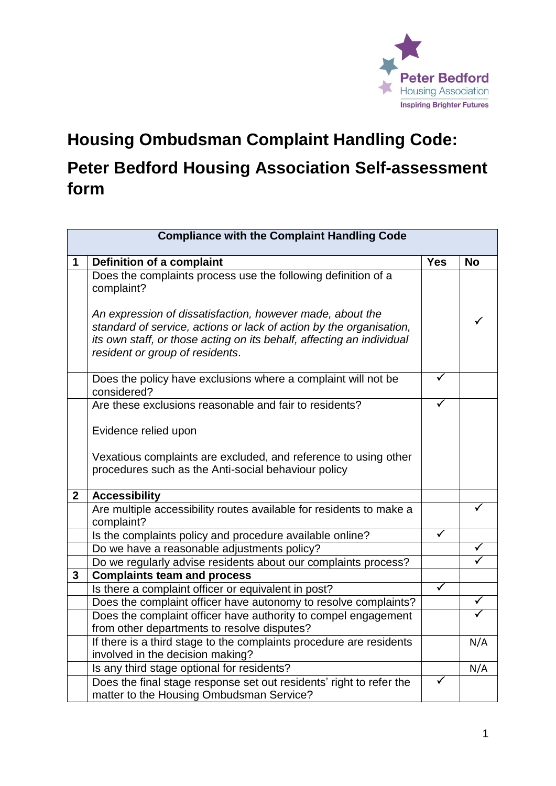

## **Housing Ombudsman Complaint Handling Code: Peter Bedford Housing Association Self-assessment form**

| <b>Compliance with the Complaint Handling Code</b> |                                                                                                                                                                                                                                              |                         |              |  |
|----------------------------------------------------|----------------------------------------------------------------------------------------------------------------------------------------------------------------------------------------------------------------------------------------------|-------------------------|--------------|--|
| 1                                                  | <b>Definition of a complaint</b>                                                                                                                                                                                                             | <b>Yes</b>              | <b>No</b>    |  |
|                                                    | Does the complaints process use the following definition of a<br>complaint?                                                                                                                                                                  |                         |              |  |
|                                                    | An expression of dissatisfaction, however made, about the<br>standard of service, actions or lack of action by the organisation,<br>its own staff, or those acting on its behalf, affecting an individual<br>resident or group of residents. |                         | ✓            |  |
|                                                    | Does the policy have exclusions where a complaint will not be<br>considered?                                                                                                                                                                 | ✓                       |              |  |
|                                                    | Are these exclusions reasonable and fair to residents?                                                                                                                                                                                       | ✓                       |              |  |
|                                                    | Evidence relied upon                                                                                                                                                                                                                         |                         |              |  |
|                                                    | Vexatious complaints are excluded, and reference to using other                                                                                                                                                                              |                         |              |  |
|                                                    | procedures such as the Anti-social behaviour policy                                                                                                                                                                                          |                         |              |  |
| $\mathbf{2}$                                       | <b>Accessibility</b>                                                                                                                                                                                                                         |                         |              |  |
|                                                    | Are multiple accessibility routes available for residents to make a<br>complaint?                                                                                                                                                            |                         |              |  |
|                                                    | Is the complaints policy and procedure available online?                                                                                                                                                                                     |                         |              |  |
|                                                    | Do we have a reasonable adjustments policy?                                                                                                                                                                                                  |                         |              |  |
|                                                    | Do we regularly advise residents about our complaints process?                                                                                                                                                                               |                         |              |  |
| 3                                                  | <b>Complaints team and process</b>                                                                                                                                                                                                           |                         |              |  |
|                                                    | Is there a complaint officer or equivalent in post?                                                                                                                                                                                          | $\overline{\checkmark}$ |              |  |
|                                                    | Does the complaint officer have autonomy to resolve complaints?                                                                                                                                                                              |                         | $\checkmark$ |  |
|                                                    | Does the complaint officer have authority to compel engagement                                                                                                                                                                               |                         | ✓            |  |
|                                                    | from other departments to resolve disputes?                                                                                                                                                                                                  |                         |              |  |
|                                                    | If there is a third stage to the complaints procedure are residents                                                                                                                                                                          |                         | N/A          |  |
|                                                    | involved in the decision making?                                                                                                                                                                                                             |                         |              |  |
|                                                    | Is any third stage optional for residents?                                                                                                                                                                                                   | $\blacktriangledown$    | N/A          |  |
|                                                    | Does the final stage response set out residents' right to refer the<br>matter to the Housing Ombudsman Service?                                                                                                                              |                         |              |  |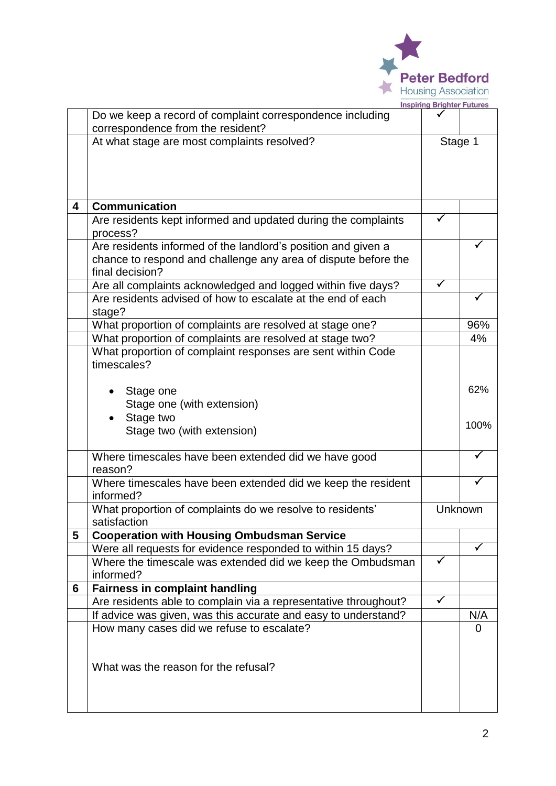

|   |                                                                 | <b>Inspiring Brighter Futures</b> |         |
|---|-----------------------------------------------------------------|-----------------------------------|---------|
|   | Do we keep a record of complaint correspondence including       |                                   |         |
|   | correspondence from the resident?                               |                                   |         |
|   | At what stage are most complaints resolved?                     | Stage 1                           |         |
|   |                                                                 |                                   |         |
|   |                                                                 |                                   |         |
|   |                                                                 |                                   |         |
| 4 | <b>Communication</b>                                            |                                   |         |
|   | Are residents kept informed and updated during the complaints   |                                   |         |
|   | process?                                                        |                                   |         |
|   | Are residents informed of the landlord's position and given a   |                                   |         |
|   | chance to respond and challenge any area of dispute before the  |                                   |         |
|   | final decision?                                                 |                                   |         |
|   | Are all complaints acknowledged and logged within five days?    | $\checkmark$                      |         |
|   | Are residents advised of how to escalate at the end of each     |                                   |         |
|   | stage?                                                          |                                   |         |
|   | What proportion of complaints are resolved at stage one?        |                                   | 96%     |
|   | What proportion of complaints are resolved at stage two?        |                                   | 4%      |
|   | What proportion of complaint responses are sent within Code     |                                   |         |
|   | timescales?                                                     |                                   |         |
|   |                                                                 |                                   |         |
|   | Stage one                                                       |                                   | 62%     |
|   | Stage one (with extension)                                      |                                   |         |
|   | Stage two                                                       |                                   |         |
|   | Stage two (with extension)                                      |                                   | 100%    |
|   |                                                                 |                                   |         |
|   | Where timescales have been extended did we have good            |                                   |         |
|   | reason?                                                         |                                   |         |
|   | Where timescales have been extended did we keep the resident    |                                   |         |
|   | informed?                                                       |                                   |         |
|   | What proportion of complaints do we resolve to residents'       |                                   | Unknown |
|   | satisfaction                                                    |                                   |         |
| 5 | <b>Cooperation with Housing Ombudsman Service</b>               |                                   |         |
|   | Were all requests for evidence responded to within 15 days?     |                                   | ✓       |
|   | Where the timescale was extended did we keep the Ombudsman      | $\checkmark$                      |         |
|   | informed?                                                       |                                   |         |
| 6 | <b>Fairness in complaint handling</b>                           |                                   |         |
|   | Are residents able to complain via a representative throughout? | ✓                                 |         |
|   | If advice was given, was this accurate and easy to understand?  |                                   | N/A     |
|   | How many cases did we refuse to escalate?                       |                                   | 0       |
|   |                                                                 |                                   |         |
|   |                                                                 |                                   |         |
|   | What was the reason for the refusal?                            |                                   |         |
|   |                                                                 |                                   |         |
|   |                                                                 |                                   |         |
|   |                                                                 |                                   |         |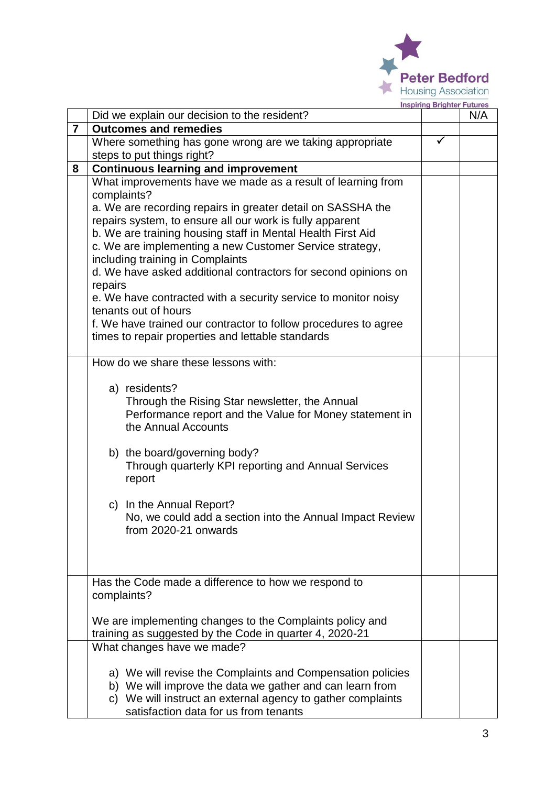

|                | Did we explain our decision to the resident?                                                       | N/A |
|----------------|----------------------------------------------------------------------------------------------------|-----|
| $\overline{7}$ | <b>Outcomes and remedies</b>                                                                       |     |
|                | Where something has gone wrong are we taking appropriate                                           |     |
|                | steps to put things right?                                                                         |     |
| 8              | <b>Continuous learning and improvement</b>                                                         |     |
|                | What improvements have we made as a result of learning from                                        |     |
|                | complaints?                                                                                        |     |
|                | a. We are recording repairs in greater detail on SASSHA the                                        |     |
|                | repairs system, to ensure all our work is fully apparent                                           |     |
|                | b. We are training housing staff in Mental Health First Aid                                        |     |
|                | c. We are implementing a new Customer Service strategy,                                            |     |
|                | including training in Complaints<br>d. We have asked additional contractors for second opinions on |     |
|                | repairs                                                                                            |     |
|                | e. We have contracted with a security service to monitor noisy                                     |     |
|                | tenants out of hours                                                                               |     |
|                | f. We have trained our contractor to follow procedures to agree                                    |     |
|                | times to repair properties and lettable standards                                                  |     |
|                |                                                                                                    |     |
|                | How do we share these lessons with:                                                                |     |
|                |                                                                                                    |     |
|                | a) residents?                                                                                      |     |
|                | Through the Rising Star newsletter, the Annual                                                     |     |
|                | Performance report and the Value for Money statement in                                            |     |
|                | the Annual Accounts                                                                                |     |
|                | b) the board/governing body?                                                                       |     |
|                | Through quarterly KPI reporting and Annual Services                                                |     |
|                | report                                                                                             |     |
|                |                                                                                                    |     |
|                | In the Annual Report?<br>C)                                                                        |     |
|                | No, we could add a section into the Annual Impact Review                                           |     |
|                | from 2020-21 onwards                                                                               |     |
|                |                                                                                                    |     |
|                |                                                                                                    |     |
|                |                                                                                                    |     |
|                | Has the Code made a difference to how we respond to                                                |     |
|                | complaints?                                                                                        |     |
|                | We are implementing changes to the Complaints policy and                                           |     |
|                | training as suggested by the Code in quarter 4, 2020-21                                            |     |
|                | What changes have we made?                                                                         |     |
|                |                                                                                                    |     |
|                | a) We will revise the Complaints and Compensation policies                                         |     |
|                | b) We will improve the data we gather and can learn from                                           |     |
|                | c) We will instruct an external agency to gather complaints                                        |     |
|                | satisfaction data for us from tenants                                                              |     |